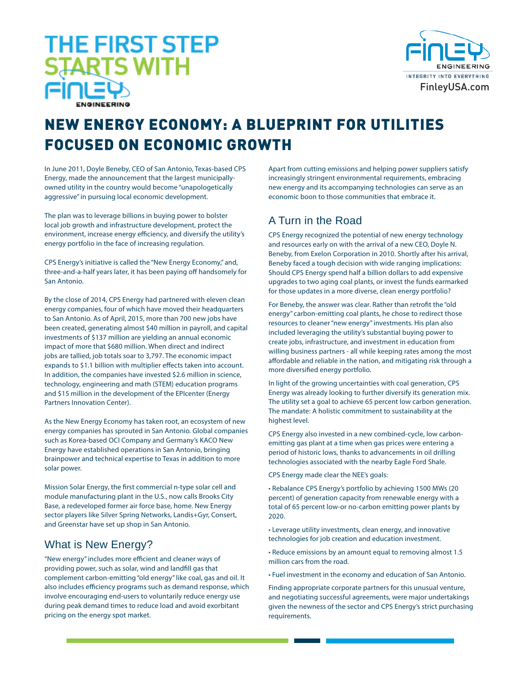# **THE FIRST STEP STARTS WITH**



# NEW ENERGY ECONOMY: A BLUEPRINT FOR UTILITIES FOCUSED ON ECONOMIC GROWTH

In June 2011, Doyle Beneby, CEO of San Antonio, Texas-based CPS Energy, made the announcement that the largest municipallyowned utility in the country would become "unapologetically aggressive" in pursuing local economic development.

The plan was to leverage billions in buying power to bolster local job growth and infrastructure development, protect the environment, increase energy efficiency, and diversify the utility's energy portfolio in the face of increasing regulation.

CPS Energy's initiative is called the "New Energy Economy," and, three-and-a-half years later, it has been paying off handsomely for San Antonio.

By the close of 2014, CPS Energy had partnered with eleven clean energy companies, four of which have moved their headquarters to San Antonio. As of April, 2015, more than 700 new jobs have been created, generating almost \$40 million in payroll, and capital investments of \$137 million are yielding an annual economic impact of more that \$680 million. When direct and indirect jobs are tallied, job totals soar to 3,797. The economic impact expands to \$1.1 billion with multiplier effects taken into account. In addition, the companies have invested \$2.6 million in science, technology, engineering and math (STEM) education programs and \$15 million in the development of the EPIcenter (Energy Partners Innovation Center).

As the New Energy Economy has taken root, an ecosystem of new energy companies has sprouted in San Antonio. Global companies such as Korea-based OCI Company and Germany's KACO New Energy have established operations in San Antonio, bringing brainpower and technical expertise to Texas in addition to more solar power.

Mission Solar Energy, the first commercial n-type solar cell and module manufacturing plant in the U.S., now calls Brooks City Base, a redeveloped former air force base, home. New Energy sector players like Silver Spring Networks, Landis+Gyr, Consert, and Greenstar have set up shop in San Antonio.

### What is New Energy?

"New energy" includes more efficient and cleaner ways of providing power, such as solar, wind and landfill gas that complement carbon-emitting "old energy" like coal, gas and oil. It also includes efficiency programs such as demand response, which involve encouraging end-users to voluntarily reduce energy use during peak demand times to reduce load and avoid exorbitant pricing on the energy spot market.

Apart from cutting emissions and helping power suppliers satisfy increasingly stringent environmental requirements, embracing new energy and its accompanying technologies can serve as an economic boon to those communities that embrace it.

## A Turn in the Road

CPS Energy recognized the potential of new energy technology and resources early on with the arrival of a new CEO, Doyle N. Beneby, from Exelon Corporation in 2010. Shortly after his arrival, Beneby faced a tough decision with wide ranging implications: Should CPS Energy spend half a billion dollars to add expensive upgrades to two aging coal plants, or invest the funds earmarked for those updates in a more diverse, clean energy portfolio?

For Beneby, the answer was clear. Rather than retrofit the "old energy" carbon-emitting coal plants, he chose to redirect those resources to cleaner "new energy" investments. His plan also included leveraging the utility's substantial buying power to create jobs, infrastructure, and investment in education from willing business partners - all while keeping rates among the most affordable and reliable in the nation, and mitigating risk through a more diversified energy portfolio.

In light of the growing uncertainties with coal generation, CPS Energy was already looking to further diversify its generation mix. The utility set a goal to achieve 65 percent low carbon generation. The mandate: A holistic commitment to sustainability at the highest level.

CPS Energy also invested in a new combined-cycle, low carbonemitting gas plant at a time when gas prices were entering a period of historic lows, thanks to advancements in oil drilling technologies associated with the nearby Eagle Ford Shale.

CPS Energy made clear the NEE's goals:

• Rebalance CPS Energy's portfolio by achieving 1500 MWs (20 percent) of generation capacity from renewable energy with a total of 65 percent low-or no-carbon emitting power plants by 2020.

• Leverage utility investments, clean energy, and innovative technologies for job creation and education investment.

• Reduce emissions by an amount equal to removing almost 1.5 million cars from the road.

• Fuel investment in the economy and education of San Antonio.

Finding appropriate corporate partners for this unusual venture, and negotiating successful agreements, were major undertakings given the newness of the sector and CPS Energy's strict purchasing requirements.